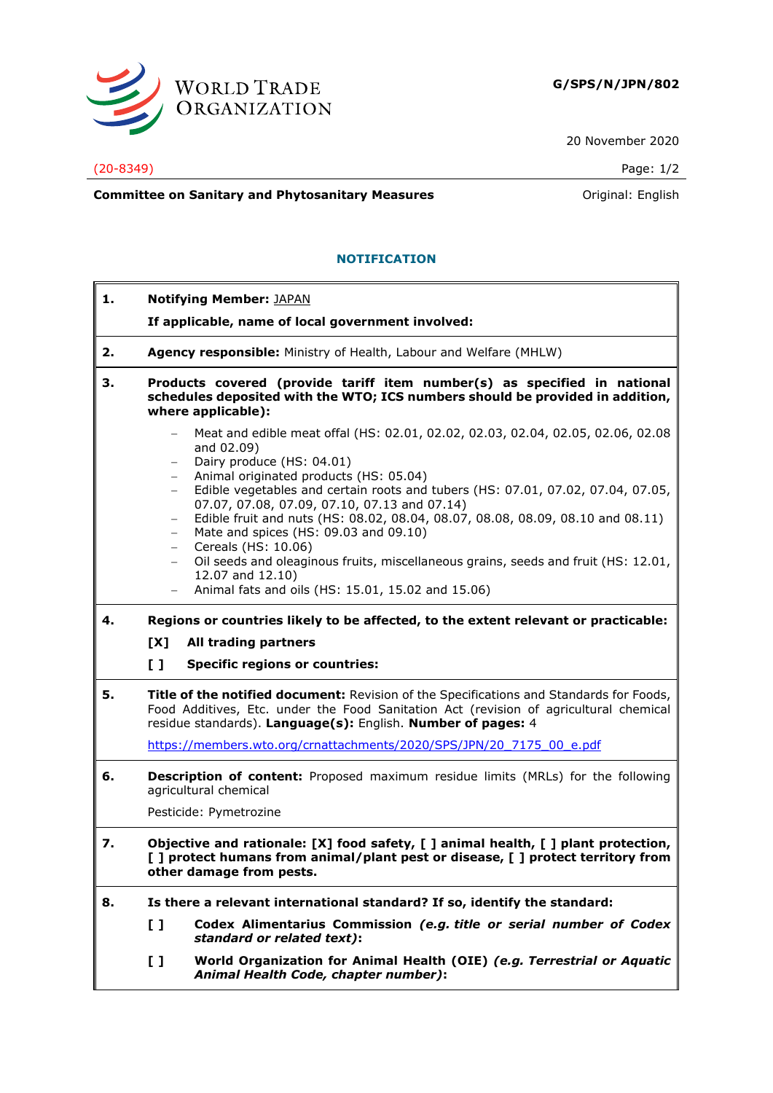

20 November 2020

#### (20-8349) Page: 1/2

**Committee on Sanitary and Phytosanitary Measures Committee on Sanitary and Phytosanitary Measures Committee on Sanitary and Phytosanitary Measures** 

## **NOTIFICATION**

| 1. | <b>Notifying Member: JAPAN</b>                                                                                                                                                                                                                       |
|----|------------------------------------------------------------------------------------------------------------------------------------------------------------------------------------------------------------------------------------------------------|
|    | If applicable, name of local government involved:                                                                                                                                                                                                    |
| 2. | Agency responsible: Ministry of Health, Labour and Welfare (MHLW)                                                                                                                                                                                    |
| з. | Products covered (provide tariff item number(s) as specified in national<br>schedules deposited with the WTO; ICS numbers should be provided in addition,<br>where applicable):                                                                      |
|    | Meat and edible meat offal (HS: 02.01, 02.02, 02.03, 02.04, 02.05, 02.06, 02.08<br>$\overline{\phantom{0}}$<br>and 02.09)<br>Dairy produce (HS: 04.01)<br>$\qquad \qquad -$<br>Animal originated products (HS: 05.04)<br>$\qquad \qquad -$           |
|    | Edible vegetables and certain roots and tubers (HS: 07.01, 07.02, 07.04, 07.05,<br>$-$<br>07.07, 07.08, 07.09, 07.10, 07.13 and 07.14)<br>Edible fruit and nuts (HS: 08.02, 08.04, 08.07, 08.08, 08.09, 08.10 and 08.11)<br>$\overline{\phantom{0}}$ |
|    | Mate and spices (HS: 09.03 and 09.10)<br>$\overline{\phantom{0}}$<br>Cereals (HS: 10.06)<br>$\qquad \qquad -$<br>Oil seeds and oleaginous fruits, miscellaneous grains, seeds and fruit (HS: 12.01,<br>$-$<br>12.07 and 12.10)                       |
|    | Animal fats and oils (HS: 15.01, 15.02 and 15.06)                                                                                                                                                                                                    |
| 4. | Regions or countries likely to be affected, to the extent relevant or practicable:                                                                                                                                                                   |
|    | [X]<br>All trading partners                                                                                                                                                                                                                          |
|    | $\mathbf{L}$<br><b>Specific regions or countries:</b>                                                                                                                                                                                                |
| 5. | Title of the notified document: Revision of the Specifications and Standards for Foods,<br>Food Additives, Etc. under the Food Sanitation Act (revision of agricultural chemical<br>residue standards). Language(s): English. Number of pages: 4     |
|    | https://members.wto.org/crnattachments/2020/SPS/JPN/20 7175 00 e.pdf                                                                                                                                                                                 |
| 6. | <b>Description of content:</b> Proposed maximum residue limits (MRLs) for the following<br>agricultural chemical                                                                                                                                     |
|    | Pesticide: Pymetrozine                                                                                                                                                                                                                               |
| 7. | Objective and rationale: [X] food safety, [] animal health, [] plant protection,<br>[ ] protect humans from animal/plant pest or disease, [ ] protect territory from<br>other damage from pests.                                                     |
| 8. | Is there a relevant international standard? If so, identify the standard:                                                                                                                                                                            |
|    | Codex Alimentarius Commission (e.g. title or serial number of Codex<br>I I<br>standard or related text):                                                                                                                                             |
|    | World Organization for Animal Health (OIE) (e.g. Terrestrial or Aquatic<br>I I<br>Animal Health Code, chapter number):                                                                                                                               |